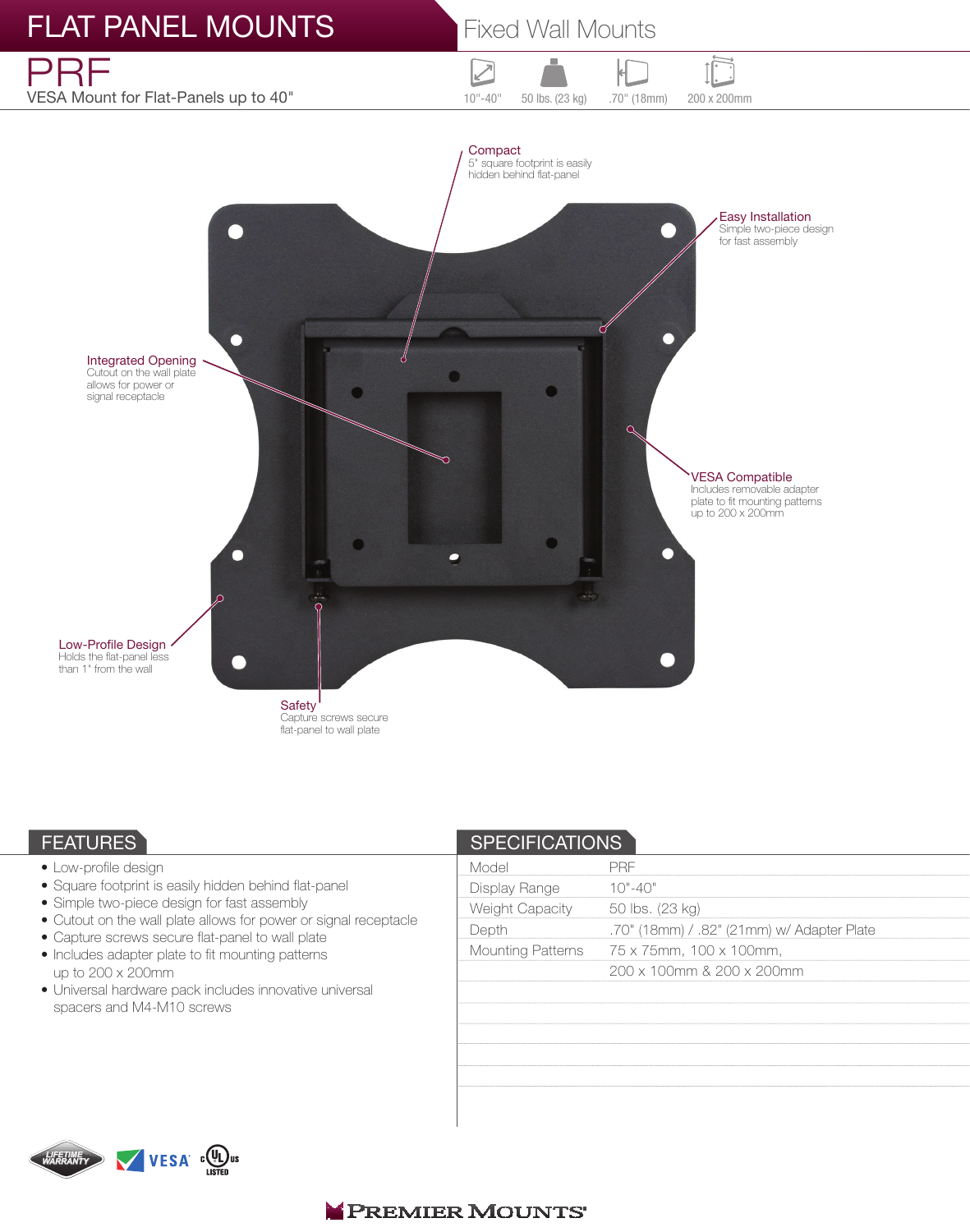

# **FEATURES**

- Low-profile design
- Square footprint is easily hidden behind flat-panel
- Simple two-piece design for fast assembly
- Cutout on the wall plate allows for power or signal receptacle
- Capture screws secure flat-panel to wall plate
- Includes adapter plate to fit mounting patterns up to 200 x 200mm
- Universal hardware pack includes innovative universal spacers and M4-M10 screws

| <b>SPECIFICATIONS</b> |                                            |
|-----------------------|--------------------------------------------|
| Model                 | <b>PRF</b>                                 |
| Display Range         | $10" - 40"$                                |
| Weight Capacity       | 50 lbs. (23 kg)                            |
| Depth                 | .70" (18mm) / .82" (21mm) w/ Adapter Plate |
| Mounting Patterns     | 75 x 75mm, 100 x 100mm,                    |
|                       | 200 x 100mm & 200 x 200mm                  |
|                       |                                            |
|                       |                                            |
|                       |                                            |
|                       |                                            |
|                       |                                            |
|                       |                                            |
|                       |                                            |